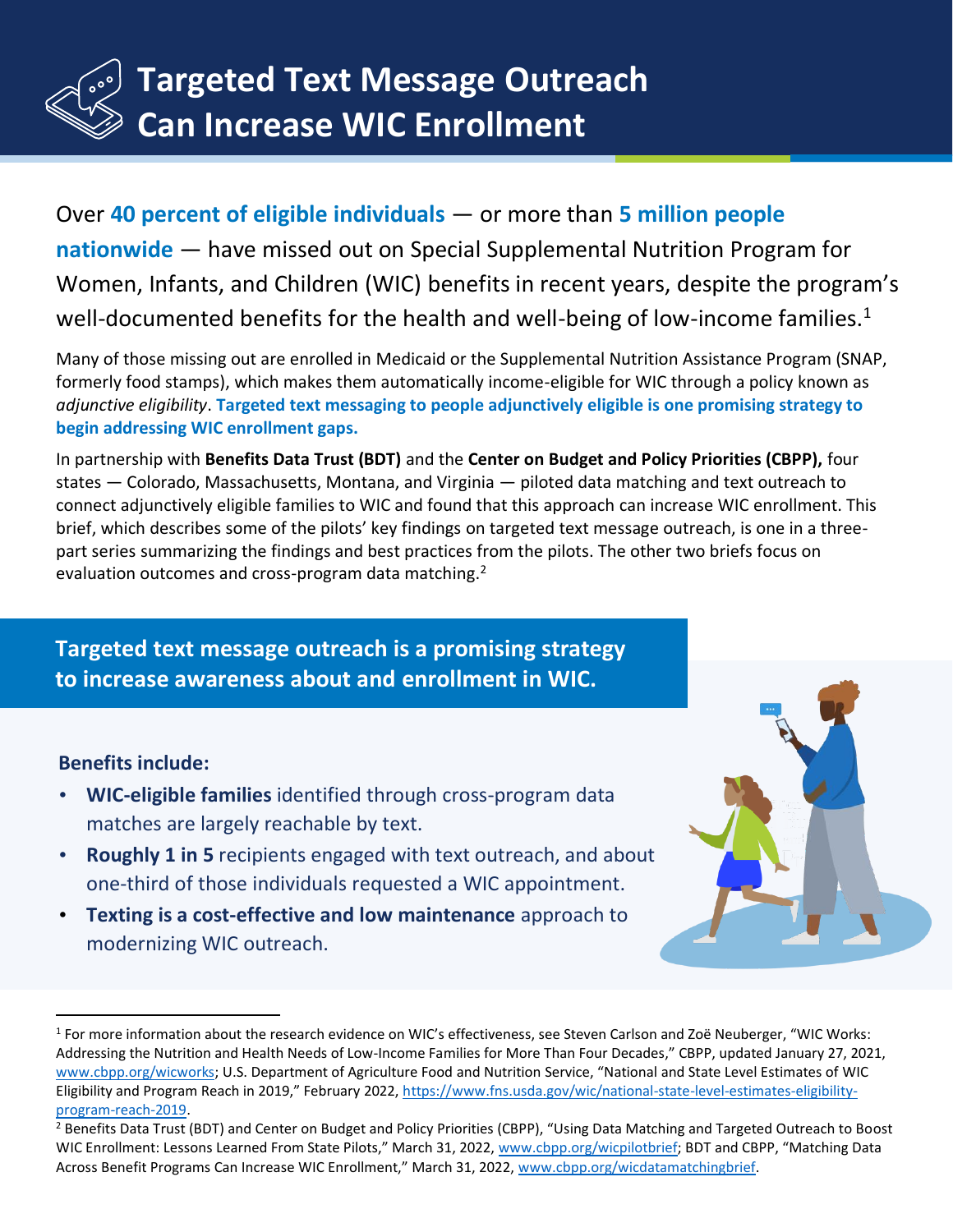

Over **40 percent of eligible individuals** — or more than **5 million people nationwide** — have missed out on Special Supplemental Nutrition Program for Women, Infants, and Children (WIC) benefits in recent years, despite the program's well-documented benefits for the health and well-being of low-income families.<sup>1</sup>

Many of those missing out are enrolled in Medicaid or the Supplemental Nutrition Assistance Program (SNAP, formerly food stamps), which makes them automatically income-eligible for WIC through a policy known as *adjunctive eligibility*. **Targeted text messaging to people adjunctively eligible is one promising strategy to begin addressing WIC enrollment gaps.**

In partnership with **Benefits Data Trust (BDT)** and the **Center on Budget and Policy Priorities (CBPP),** four states — Colorado, Massachusetts, Montana, and Virginia — piloted data matching and text outreach to connect adjunctively eligible families to WIC and found that this approach can increase WIC enrollment. This brief, which describes some of the pilots' key findings on targeted text message outreach, is one in a threepart series summarizing the findings and best practices from the pilots. The other two briefs focus on evaluation outcomes and cross-program data matching.<sup>2</sup>

**Targeted text message outreach is a promising strategy to increase awareness about and enrollment in WIC.**

#### **Benefits include:**

- **WIC-eligible families** identified through cross-program data matches are largely reachable by text.
- **Roughly 1 in 5** recipients engaged with text outreach, and about one-third of those individuals requested a WIC appointment.
- **Texting is a cost-effective and low maintenance** approach to modernizing WIC outreach.

<sup>1</sup> For more information about the research evidence on WIC's effectiveness, see Steven Carlson and Zoë Neuberger, "WIC Works: Addressing the Nutrition and Health Needs of Low-Income Families for More Than Four Decades," CBPP, updated January 27, 2021, [www.cbpp.org/wicworks;](http://www.cbpp.org/wicworks) U.S. Department of Agriculture Food and Nutrition Service, "National and State Level Estimates of WIC Eligibility and Program Reach in 2019," February 2022, [https://www.fns.usda.gov/wic/national-state-level-estimates-eligibility](https://www.fns.usda.gov/wic/national-state-level-estimates-eligibility-program-reach-2019)[program-reach-2019.](https://www.fns.usda.gov/wic/national-state-level-estimates-eligibility-program-reach-2019)

<sup>&</sup>lt;sup>2</sup> Benefits Data Trust (BDT) and Center on Budget and Policy Priorities (CBPP), "Using Data Matching and Targeted Outreach to Boost WIC Enrollment: Lessons Learned From State Pilots," March 31, 2022, [www.cbpp.org/wicpilotbrief](http://www.cbpp.org/wicpilotbrief); BDT and CBPP, "Matching Data Across Benefit Programs Can Increase WIC Enrollment," March 31, 2022, [www.cbpp.org/wicdatamatchingbrief.](http://www.cbpp.org/wicdatamatchingbrief)